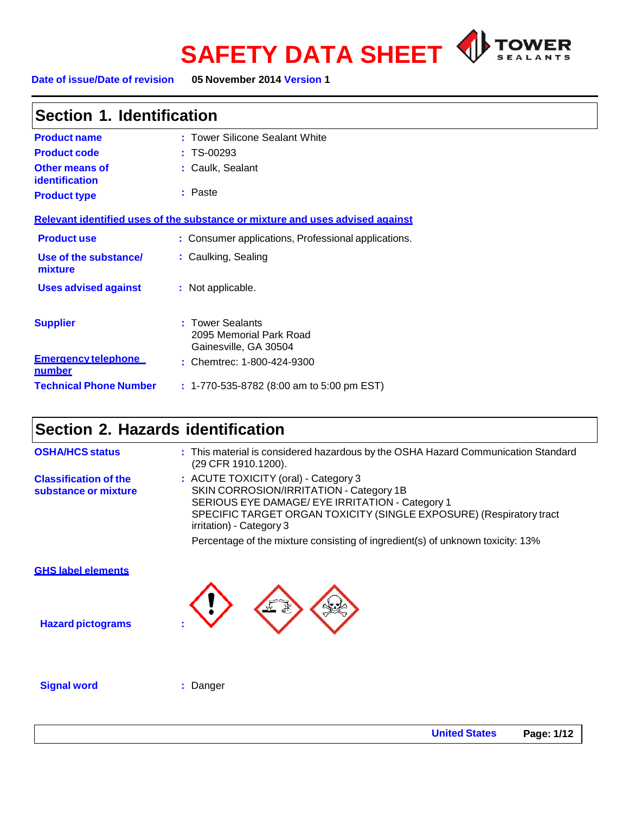



| Section 1. Identification                      |                                                                               |  |  |
|------------------------------------------------|-------------------------------------------------------------------------------|--|--|
| <b>Product name</b>                            | : Tower Silicone Sealant White                                                |  |  |
| <b>Product code</b>                            | $: TS-00293$                                                                  |  |  |
| <b>Other means of</b><br><b>identification</b> | : Caulk, Sealant                                                              |  |  |
| <b>Product type</b>                            | : Paste                                                                       |  |  |
|                                                | Relevant identified uses of the substance or mixture and uses advised against |  |  |
| <b>Product use</b>                             | : Consumer applications, Professional applications.                           |  |  |
| Use of the substance/<br>mixture               | : Caulking, Sealing                                                           |  |  |
| <b>Uses advised against</b>                    | : Not applicable.                                                             |  |  |
| <b>Supplier</b>                                | : Tower Sealants<br>2095 Memorial Park Road<br>Gainesville, GA 30504          |  |  |
| <b>Emergency telephone</b><br>number           | : Chemtrec: 1-800-424-9300                                                    |  |  |
| <b>Technical Phone Number</b>                  | $: 1-770-535-8782$ (8:00 am to 5:00 pm EST)                                   |  |  |

# **Section 2. Hazards identification**

| <b>OSHA/HCS status</b>                                | : This material is considered hazardous by the OSHA Hazard Communication Standard<br>(29 CFR 1910.1200).                                                                                                                              |  |
|-------------------------------------------------------|---------------------------------------------------------------------------------------------------------------------------------------------------------------------------------------------------------------------------------------|--|
| <b>Classification of the</b><br>substance or mixture  | : ACUTE TOXICITY (oral) - Category 3<br>SKIN CORROSION/IRRITATION - Category 1B<br>SERIOUS EYE DAMAGE/ EYE IRRITATION - Category 1<br>SPECIFIC TARGET ORGAN TOXICITY (SINGLE EXPOSURE) (Respiratory tract<br>irritation) - Category 3 |  |
|                                                       | Percentage of the mixture consisting of ingredient(s) of unknown toxicity: 13%                                                                                                                                                        |  |
| <b>GHS label elements</b><br><b>Hazard pictograms</b> |                                                                                                                                                                                                                                       |  |
| <b>Signal word</b>                                    | Danger                                                                                                                                                                                                                                |  |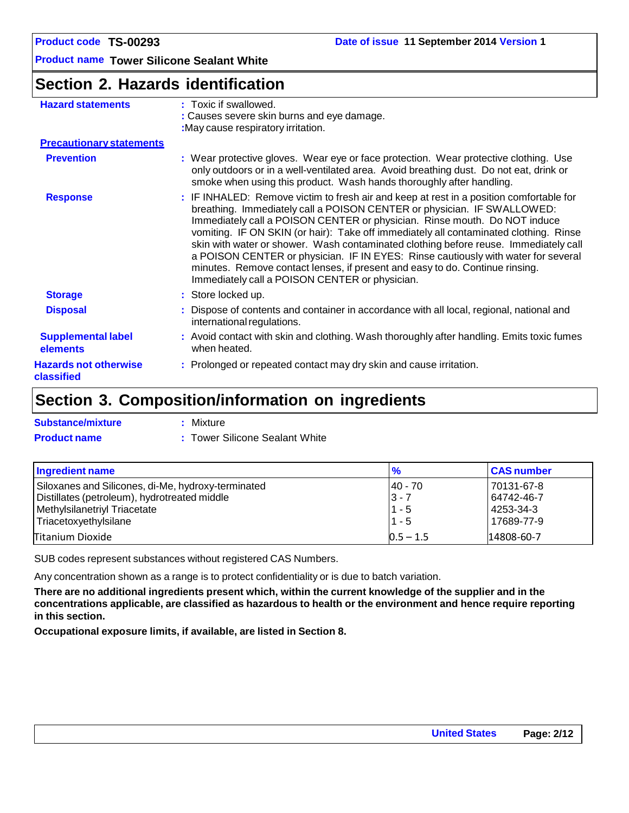### **Section 2. Hazards identification**

| <b>Hazard statements</b>                   | : Toxic if swallowed.                                                                                                                                                                                                                                                                                                                                                                                                                                                                                                                                                                                                                                   |
|--------------------------------------------|---------------------------------------------------------------------------------------------------------------------------------------------------------------------------------------------------------------------------------------------------------------------------------------------------------------------------------------------------------------------------------------------------------------------------------------------------------------------------------------------------------------------------------------------------------------------------------------------------------------------------------------------------------|
|                                            | : Causes severe skin burns and eye damage.<br>: May cause respiratory irritation.                                                                                                                                                                                                                                                                                                                                                                                                                                                                                                                                                                       |
| <b>Precautionary statements</b>            |                                                                                                                                                                                                                                                                                                                                                                                                                                                                                                                                                                                                                                                         |
| <b>Prevention</b>                          | : Wear protective gloves. Wear eye or face protection. Wear protective clothing. Use<br>only outdoors or in a well-ventilated area. Avoid breathing dust. Do not eat, drink or<br>smoke when using this product. Wash hands thoroughly after handling.                                                                                                                                                                                                                                                                                                                                                                                                  |
| <b>Response</b>                            | : IF INHALED: Remove victim to fresh air and keep at rest in a position comfortable for<br>breathing. Immediately call a POISON CENTER or physician. IF SWALLOWED:<br>Immediately call a POISON CENTER or physician. Rinse mouth. Do NOT induce<br>vomiting. IF ON SKIN (or hair): Take off immediately all contaminated clothing. Rinse<br>skin with water or shower. Wash contaminated clothing before reuse. Immediately call<br>a POISON CENTER or physician. IF IN EYES: Rinse cautiously with water for several<br>minutes. Remove contact lenses, if present and easy to do. Continue rinsing.<br>Immediately call a POISON CENTER or physician. |
| <b>Storage</b>                             | : Store locked up.                                                                                                                                                                                                                                                                                                                                                                                                                                                                                                                                                                                                                                      |
| <b>Disposal</b>                            | : Dispose of contents and container in accordance with all local, regional, national and<br>international regulations.                                                                                                                                                                                                                                                                                                                                                                                                                                                                                                                                  |
| <b>Supplemental label</b><br>elements      | : Avoid contact with skin and clothing. Wash thoroughly after handling. Emits toxic fumes<br>when heated.                                                                                                                                                                                                                                                                                                                                                                                                                                                                                                                                               |
| <b>Hazards not otherwise</b><br>classified | : Prolonged or repeated contact may dry skin and cause irritation.                                                                                                                                                                                                                                                                                                                                                                                                                                                                                                                                                                                      |

# **Section 3. Composition/information on ingredients**

| <b>Substance/mixture</b> | : Mixture                      |
|--------------------------|--------------------------------|
| <b>Product name</b>      | : Tower Silicone Sealant White |

| Ingredient name                                    | $\frac{9}{6}$ | <b>CAS number</b> |
|----------------------------------------------------|---------------|-------------------|
| Siloxanes and Silicones, di-Me, hydroxy-terminated | 140 - 70      | 70131-67-8        |
| Distillates (petroleum), hydrotreated middle       | $ 3 - 7$      | 64742-46-7        |
| Methylsilanetriyl Triacetate                       | $11 - 5$      | 4253-34-3         |
| Triacetoxyethylsilane                              | $1 - 5$       | 17689-77-9        |
| Titanium Dioxide                                   | $0.5 - 1.5$   | 14808-60-7        |

SUB codes represent substances without registered CAS Numbers.

Any concentration shown as a range is to protect confidentiality or is due to batch variation.

There are no additional ingredients present which, within the current knowledge of the supplier and in the **concentrations applicable, are classified as hazardous to health or the environment and hence require reporting in this section.**

**Occupational exposure limits, if available, are listed in Section 8.**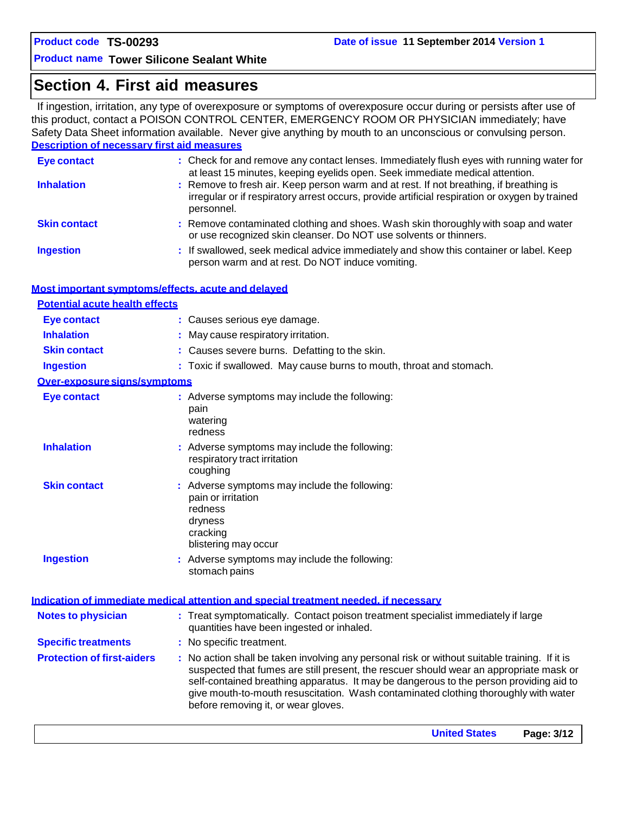### **Section 4. First aid measures**

If ingestion, irritation, any type of overexposure or symptoms of overexposure occur during or persists after use of this product, contact a POISON CONTROL CENTER, EMERGENCY ROOM OR PHYSICIAN immediately; have Safety Data Sheet information available. Never give anything by mouth to an unconscious or convulsing person. **Description of necessary first aid measures**

| <b>Eye contact</b>                                 | : Check for and remove any contact lenses. Immediately flush eyes with running water for                                                                                                                                                                                                                                                                                                                        |
|----------------------------------------------------|-----------------------------------------------------------------------------------------------------------------------------------------------------------------------------------------------------------------------------------------------------------------------------------------------------------------------------------------------------------------------------------------------------------------|
| <b>Inhalation</b>                                  | at least 15 minutes, keeping eyelids open. Seek immediate medical attention.<br>: Remove to fresh air. Keep person warm and at rest. If not breathing, if breathing is<br>irregular or if respiratory arrest occurs, provide artificial respiration or oxygen by trained<br>personnel.                                                                                                                          |
| <b>Skin contact</b>                                | : Remove contaminated clothing and shoes. Wash skin thoroughly with soap and water<br>or use recognized skin cleanser. Do NOT use solvents or thinners.                                                                                                                                                                                                                                                         |
| <b>Ingestion</b>                                   | : If swallowed, seek medical advice immediately and show this container or label. Keep<br>person warm and at rest. Do NOT induce vomiting.                                                                                                                                                                                                                                                                      |
| Most important symptoms/effects, acute and delayed |                                                                                                                                                                                                                                                                                                                                                                                                                 |
| <b>Potential acute health effects</b>              |                                                                                                                                                                                                                                                                                                                                                                                                                 |
| <b>Eye contact</b>                                 | : Causes serious eye damage.                                                                                                                                                                                                                                                                                                                                                                                    |
| <b>Inhalation</b>                                  | : May cause respiratory irritation.                                                                                                                                                                                                                                                                                                                                                                             |
| <b>Skin contact</b>                                | : Causes severe burns. Defatting to the skin.                                                                                                                                                                                                                                                                                                                                                                   |
| <b>Ingestion</b>                                   | : Toxic if swallowed. May cause burns to mouth, throat and stomach.                                                                                                                                                                                                                                                                                                                                             |
| Over-exposure signs/symptoms                       |                                                                                                                                                                                                                                                                                                                                                                                                                 |
| <b>Eye contact</b>                                 | : Adverse symptoms may include the following:<br>pain<br>watering<br>redness                                                                                                                                                                                                                                                                                                                                    |
| <b>Inhalation</b>                                  | : Adverse symptoms may include the following:<br>respiratory tract irritation<br>coughing                                                                                                                                                                                                                                                                                                                       |
| <b>Skin contact</b>                                | : Adverse symptoms may include the following:<br>pain or irritation<br>redness<br>dryness<br>cracking<br>blistering may occur                                                                                                                                                                                                                                                                                   |
| <b>Ingestion</b>                                   | : Adverse symptoms may include the following:<br>stomach pains                                                                                                                                                                                                                                                                                                                                                  |
|                                                    | Indication of immediate medical attention and special treatment needed, if necessary                                                                                                                                                                                                                                                                                                                            |
| <b>Notes to physician</b>                          | : Treat symptomatically. Contact poison treatment specialist immediately if large<br>quantities have been ingested or inhaled.                                                                                                                                                                                                                                                                                  |
| <b>Specific treatments</b>                         | : No specific treatment.                                                                                                                                                                                                                                                                                                                                                                                        |
| <b>Protection of first-aiders</b>                  | : No action shall be taken involving any personal risk or without suitable training. If it is<br>suspected that fumes are still present, the rescuer should wear an appropriate mask or<br>self-contained breathing apparatus. It may be dangerous to the person providing aid to<br>give mouth-to-mouth resuscitation. Wash contaminated clothing thoroughly with water<br>before removing it, or wear gloves. |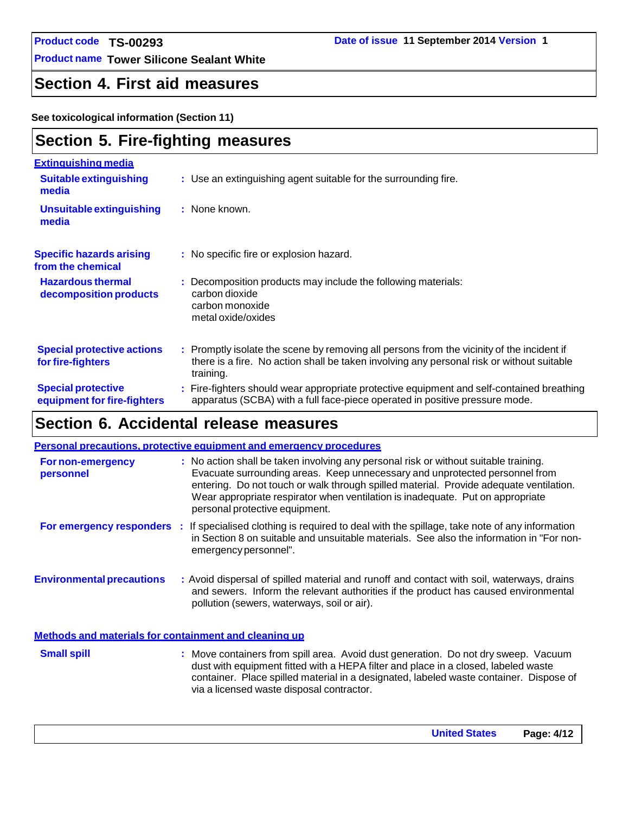**Product name Tower Silicone Sealant White**

# **Section 4. First aid measures**

**See toxicological information (Section 11)**

### **Section 5. Fire-fighting measures**

| <b>Extinguishing media</b><br><b>Suitable extinguishing</b><br>media | : Use an extinguishing agent suitable for the surrounding fire.                                                                                                                                     |
|----------------------------------------------------------------------|-----------------------------------------------------------------------------------------------------------------------------------------------------------------------------------------------------|
| <b>Unsuitable extinguishing</b><br>media                             | : None known.                                                                                                                                                                                       |
| <b>Specific hazards arising</b><br>from the chemical                 | : No specific fire or explosion hazard.                                                                                                                                                             |
| <b>Hazardous thermal</b><br>decomposition products                   | : Decomposition products may include the following materials:<br>carbon dioxide<br>carbon monoxide<br>metal oxide/oxides                                                                            |
| <b>Special protective actions</b><br>for fire-fighters               | : Promptly isolate the scene by removing all persons from the vicinity of the incident if<br>there is a fire. No action shall be taken involving any personal risk or without suitable<br>training. |
| <b>Special protective</b><br>equipment for fire-fighters             | : Fire-fighters should wear appropriate protective equipment and self-contained breathing<br>apparatus (SCBA) with a full face-piece operated in positive pressure mode.                            |

# **Section 6. Accidental release measures**

|                                                              | <b>Personal precautions, protective equipment and emergency procedures</b>                                                                                                                                                                                                                                                                                                        |
|--------------------------------------------------------------|-----------------------------------------------------------------------------------------------------------------------------------------------------------------------------------------------------------------------------------------------------------------------------------------------------------------------------------------------------------------------------------|
| For non-emergency<br>personnel                               | : No action shall be taken involving any personal risk or without suitable training.<br>Evacuate surrounding areas. Keep unnecessary and unprotected personnel from<br>entering. Do not touch or walk through spilled material. Provide adequate ventilation.<br>Wear appropriate respirator when ventilation is inadequate. Put on appropriate<br>personal protective equipment. |
|                                                              | For emergency responders : If specialised clothing is required to deal with the spillage, take note of any information<br>in Section 8 on suitable and unsuitable materials. See also the information in "For non-<br>emergency personnel".                                                                                                                                       |
| <b>Environmental precautions</b>                             | : Avoid dispersal of spilled material and runoff and contact with soil, waterways, drains<br>and sewers. Inform the relevant authorities if the product has caused environmental<br>pollution (sewers, waterways, soil or air).                                                                                                                                                   |
| <b>Methods and materials for containment and cleaning up</b> |                                                                                                                                                                                                                                                                                                                                                                                   |
| <b>Small spill</b>                                           | : Move containers from spill area. Avoid dust generation. Do not dry sweep. Vacuum<br>dust with equipment fitted with a HEPA filter and place in a closed, labeled waste<br>container. Place spilled material in a designated, labeled waste container. Dispose of<br>via a licensed waste disposal contractor.                                                                   |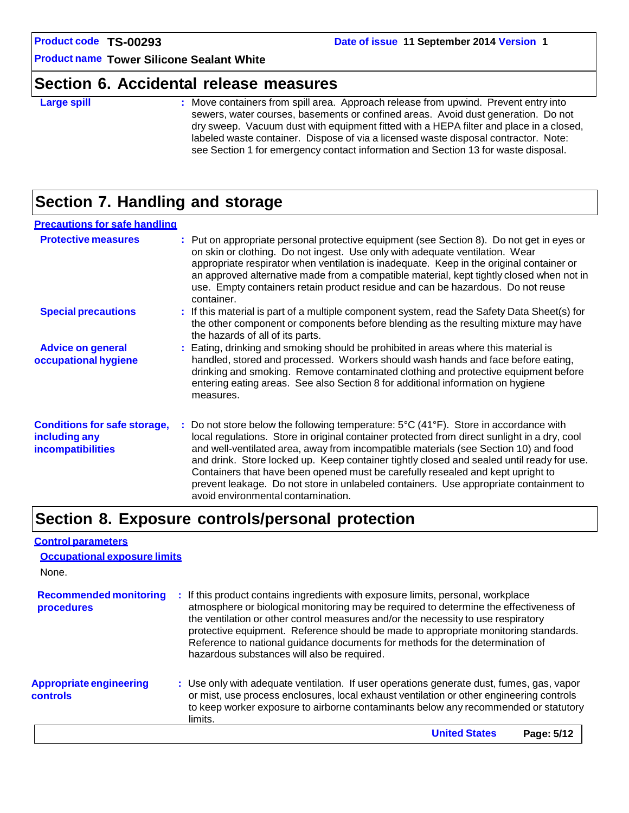**Product name Tower Silicone Sealant White**

### **Section 6. Accidental release measures**

**Large spill Example 20 Figure 1 Containers** from spill area. Approach release from upwind. Prevent entry into sewers, water courses, basements or confined areas. Avoid dust generation. Do not dry sweep. Vacuum dust with equipment fitted with a HEPA filter and place in a closed, labeled waste container. Dispose of via a licensed waste disposal contractor. Note: see Section 1 for emergency contact information and Section 13 for waste disposal.

### **Section 7. Handling and storage**

#### **Precautions for safe handling**

| <b>Protective measures</b>                                                       | : Put on appropriate personal protective equipment (see Section 8). Do not get in eyes or<br>on skin or clothing. Do not ingest. Use only with adequate ventilation. Wear<br>appropriate respirator when ventilation is inadequate. Keep in the original container or<br>an approved alternative made from a compatible material, kept tightly closed when not in<br>use. Empty containers retain product residue and can be hazardous. Do not reuse<br>container.                                                                                                                                          |
|----------------------------------------------------------------------------------|-------------------------------------------------------------------------------------------------------------------------------------------------------------------------------------------------------------------------------------------------------------------------------------------------------------------------------------------------------------------------------------------------------------------------------------------------------------------------------------------------------------------------------------------------------------------------------------------------------------|
| <b>Special precautions</b>                                                       | $:$ If this material is part of a multiple component system, read the Safety Data Sheet(s) for<br>the other component or components before blending as the resulting mixture may have<br>the hazards of all of its parts.                                                                                                                                                                                                                                                                                                                                                                                   |
| <b>Advice on general</b><br>occupational hygiene                                 | : Eating, drinking and smoking should be prohibited in areas where this material is<br>handled, stored and processed. Workers should wash hands and face before eating,<br>drinking and smoking. Remove contaminated clothing and protective equipment before<br>entering eating areas. See also Section 8 for additional information on hygiene<br>measures.                                                                                                                                                                                                                                               |
| <b>Conditions for safe storage,</b><br>including any<br><b>incompatibilities</b> | : Do not store below the following temperature: $5^{\circ}C(41^{\circ}F)$ . Store in accordance with<br>local regulations. Store in original container protected from direct sunlight in a dry, cool<br>and well-ventilated area, away from incompatible materials (see Section 10) and food<br>and drink. Store locked up. Keep container tightly closed and sealed until ready for use.<br>Containers that have been opened must be carefully resealed and kept upright to<br>prevent leakage. Do not store in unlabeled containers. Use appropriate containment to<br>avoid environmental contamination. |

### **Section 8. Exposure controls/personal protection**

| <b>Control parameters</b>                         |                                                                                                                                                                                                                                                                                                                                                                                                                                                                                       |
|---------------------------------------------------|---------------------------------------------------------------------------------------------------------------------------------------------------------------------------------------------------------------------------------------------------------------------------------------------------------------------------------------------------------------------------------------------------------------------------------------------------------------------------------------|
| <b>Occupational exposure limits</b><br>None.      |                                                                                                                                                                                                                                                                                                                                                                                                                                                                                       |
|                                                   |                                                                                                                                                                                                                                                                                                                                                                                                                                                                                       |
| <b>Recommended monitoring</b><br>procedures       | : If this product contains ingredients with exposure limits, personal, workplace<br>atmosphere or biological monitoring may be required to determine the effectiveness of<br>the ventilation or other control measures and/or the necessity to use respiratory<br>protective equipment. Reference should be made to appropriate monitoring standards.<br>Reference to national guidance documents for methods for the determination of<br>hazardous substances will also be required. |
| <b>Appropriate engineering</b><br><b>controls</b> | : Use only with adequate ventilation. If user operations generate dust, fumes, gas, vapor<br>or mist, use process enclosures, local exhaust ventilation or other engineering controls<br>to keep worker exposure to airborne contaminants below any recommended or statutory<br>limits.                                                                                                                                                                                               |
|                                                   | <b>United States</b><br>Page: 5/12                                                                                                                                                                                                                                                                                                                                                                                                                                                    |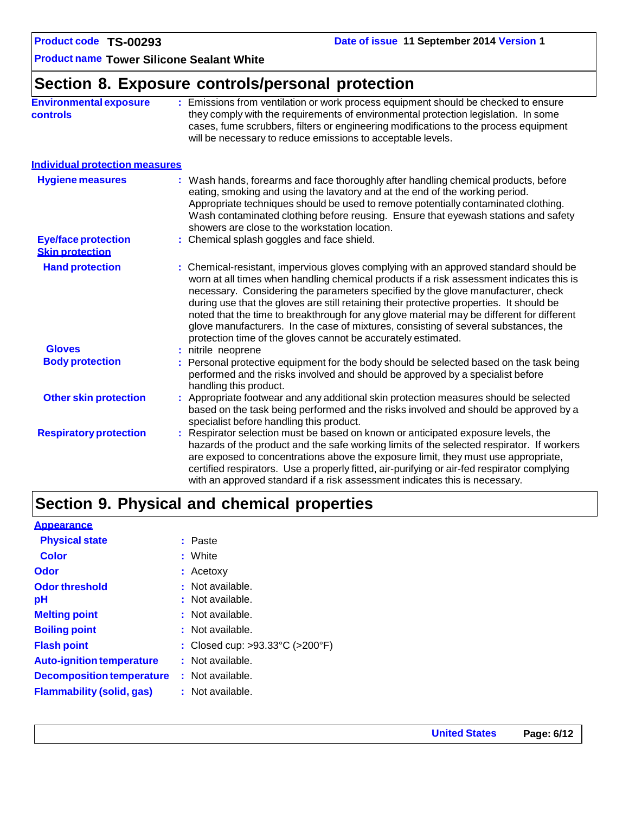**Product name Tower Silicone Sealant White**

# **Section 8. Exposure controls/personal protection**

| <b>Environmental exposure</b><br><b>controls</b>     | : Emissions from ventilation or work process equipment should be checked to ensure<br>they comply with the requirements of environmental protection legislation. In some<br>cases, fume scrubbers, filters or engineering modifications to the process equipment<br>will be necessary to reduce emissions to acceptable levels.                                                                                                                                                                                                                                                                                        |
|------------------------------------------------------|------------------------------------------------------------------------------------------------------------------------------------------------------------------------------------------------------------------------------------------------------------------------------------------------------------------------------------------------------------------------------------------------------------------------------------------------------------------------------------------------------------------------------------------------------------------------------------------------------------------------|
| <b>Individual protection measures</b>                |                                                                                                                                                                                                                                                                                                                                                                                                                                                                                                                                                                                                                        |
| <b>Hygiene measures</b>                              | : Wash hands, forearms and face thoroughly after handling chemical products, before<br>eating, smoking and using the lavatory and at the end of the working period.<br>Appropriate techniques should be used to remove potentially contaminated clothing.<br>Wash contaminated clothing before reusing. Ensure that eyewash stations and safety<br>showers are close to the workstation location.                                                                                                                                                                                                                      |
| <b>Eye/face protection</b><br><b>Skin protection</b> | : Chemical splash goggles and face shield.                                                                                                                                                                                                                                                                                                                                                                                                                                                                                                                                                                             |
| <b>Hand protection</b>                               | : Chemical-resistant, impervious gloves complying with an approved standard should be<br>worn at all times when handling chemical products if a risk assessment indicates this is<br>necessary. Considering the parameters specified by the glove manufacturer, check<br>during use that the gloves are still retaining their protective properties. It should be<br>noted that the time to breakthrough for any glove material may be different for different<br>glove manufacturers. In the case of mixtures, consisting of several substances, the<br>protection time of the gloves cannot be accurately estimated. |
| <b>Gloves</b><br><b>Body protection</b>              | : nitrile neoprene<br>: Personal protective equipment for the body should be selected based on the task being<br>performed and the risks involved and should be approved by a specialist before<br>handling this product.                                                                                                                                                                                                                                                                                                                                                                                              |
| <b>Other skin protection</b>                         | : Appropriate footwear and any additional skin protection measures should be selected<br>based on the task being performed and the risks involved and should be approved by a<br>specialist before handling this product.                                                                                                                                                                                                                                                                                                                                                                                              |
| <b>Respiratory protection</b>                        | : Respirator selection must be based on known or anticipated exposure levels, the<br>hazards of the product and the safe working limits of the selected respirator. If workers<br>are exposed to concentrations above the exposure limit, they must use appropriate,<br>certified respirators. Use a properly fitted, air-purifying or air-fed respirator complying<br>with an approved standard if a risk assessment indicates this is necessary.                                                                                                                                                                     |

# **Section 9. Physical and chemical properties**

#### **Appearance**

| <b>Physical state</b>            | : Paste                         |
|----------------------------------|---------------------------------|
| <b>Color</b>                     | : White                         |
| Odor                             | : Acetoxy                       |
| <b>Odor threshold</b>            | : Not available.                |
| рH                               | : Not available.                |
| <b>Melting point</b>             | : Not available.                |
| <b>Boiling point</b>             | : Not available.                |
| <b>Flash point</b>               | : Closed cup: >93.33°C (>200°F) |
| <b>Auto-ignition temperature</b> | : Not available.                |
| <b>Decomposition temperature</b> | : Not available.                |
| <b>Flammability (solid, gas)</b> | : Not available.                |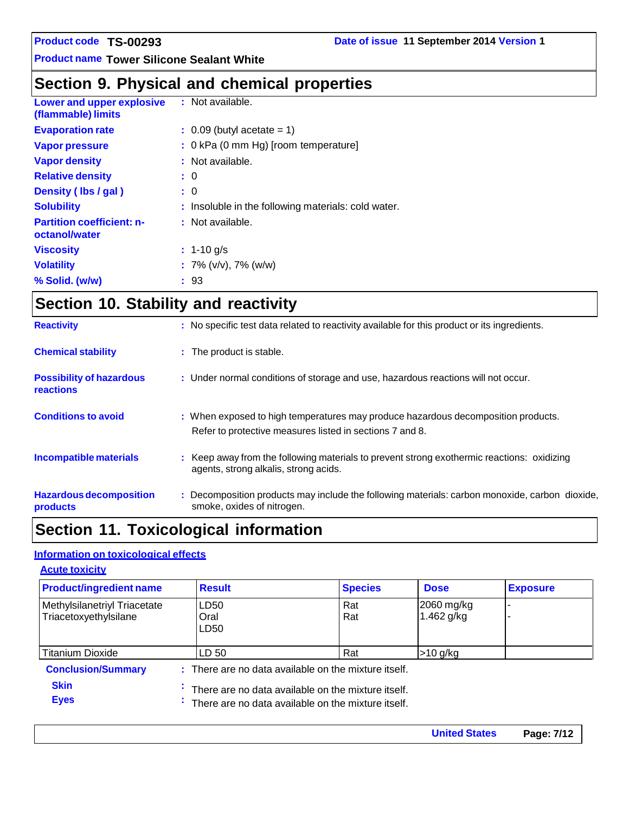**Product name Tower Silicone Sealant White**

# **Section 9. Physical and chemical properties**

| <b>Lower and upper explosive</b><br>(flammable) limits | : Not available.                                    |
|--------------------------------------------------------|-----------------------------------------------------|
| <b>Evaporation rate</b>                                | $\therefore$ 0.09 (butyl acetate = 1)               |
| <b>Vapor pressure</b>                                  | : 0 kPa (0 mm Hg) [room temperature]                |
| <b>Vapor density</b>                                   | : Not available.                                    |
| <b>Relative density</b>                                | $\colon 0$                                          |
| Density (lbs / gal)                                    | : 0                                                 |
| <b>Solubility</b>                                      | : Insoluble in the following materials: cold water. |
| <b>Partition coefficient: n-</b><br>octanol/water      | : Not available.                                    |
| <b>Viscosity</b>                                       | $: 1 - 10$ g/s                                      |
| <b>Volatility</b>                                      | : $7\%$ (v/v), $7\%$ (w/w)                          |
| % Solid. (w/w)                                         | : 93                                                |

# **Section 10. Stability and reactivity**

| <b>Hazardous decomposition</b><br><b>products</b>   | : Decomposition products may include the following materials: carbon monoxide, carbon dioxide,<br>smoke, oxides of nitrogen.                  |
|-----------------------------------------------------|-----------------------------------------------------------------------------------------------------------------------------------------------|
| Incompatible materials                              | : Keep away from the following materials to prevent strong exothermic reactions: oxidizing<br>agents, strong alkalis, strong acids.           |
| <b>Conditions to avoid</b>                          | : When exposed to high temperatures may produce hazardous decomposition products.<br>Refer to protective measures listed in sections 7 and 8. |
| <b>Possibility of hazardous</b><br><b>reactions</b> | : Under normal conditions of storage and use, hazardous reactions will not occur.                                                             |
| <b>Chemical stability</b>                           | : The product is stable.                                                                                                                      |
| <b>Reactivity</b>                                   | : No specific test data related to reactivity available for this product or its ingredients.                                                  |

# **Section 11. Toxicological information**

### **Information on toxicological effects**

| <b>Acute toxicity</b>                                   |                                                                                                                                                                                  |                |                            |                 |
|---------------------------------------------------------|----------------------------------------------------------------------------------------------------------------------------------------------------------------------------------|----------------|----------------------------|-----------------|
| <b>Product/ingredient name</b>                          | <b>Result</b>                                                                                                                                                                    | <b>Species</b> | <b>Dose</b>                | <b>Exposure</b> |
| Methylsilanetriyl Triacetate<br>Triacetoxyethylsilane   | LD50<br>Oral<br>LD50                                                                                                                                                             | Rat<br>Rat     | 2060 mg/kg<br>1.462 $g/kg$ |                 |
| <b>Titanium Dioxide</b>                                 | LD 50                                                                                                                                                                            | Rat            | $>10$ g/kg                 |                 |
| <b>Conclusion/Summary</b><br><b>Skin</b><br><b>Eyes</b> | : There are no data available on the mixture itself.<br>$\cdot$ There are no data available on the mixture itself.<br>$\cdot$ There are no data available on the mixture itself. |                |                            |                 |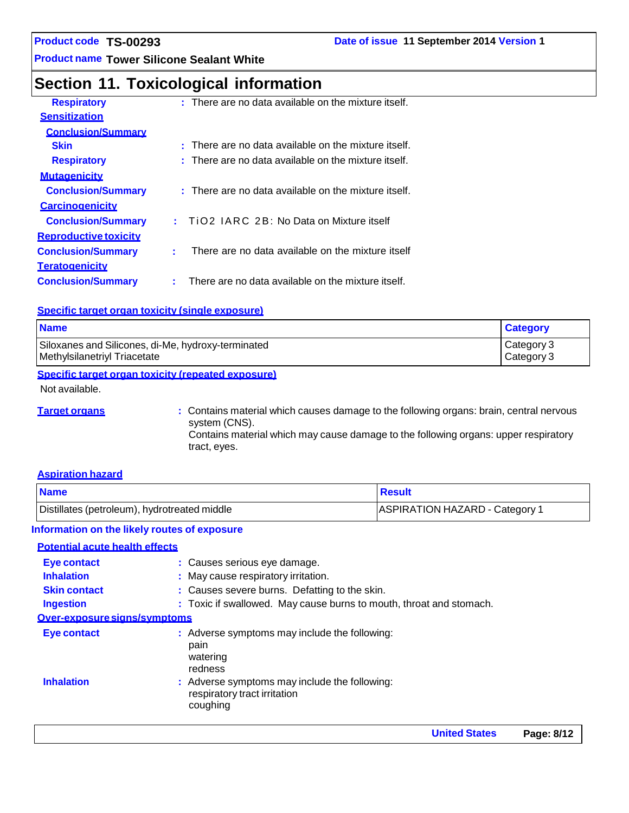**Product name Tower Silicone Sealant White**

### **Section 11. Toxicological information**

| <b>Respiratory</b>           | $:$ There are no data available on the mixture itself. |
|------------------------------|--------------------------------------------------------|
| <b>Sensitization</b>         |                                                        |
| <b>Conclusion/Summary</b>    |                                                        |
| <b>Skin</b>                  | $:$ There are no data available on the mixture itself. |
| <b>Respiratory</b>           | $:$ There are no data available on the mixture itself. |
| <b>Mutagenicity</b>          |                                                        |
| <b>Conclusion/Summary</b>    | : There are no data available on the mixture itself.   |
| <b>Carcinogenicity</b>       |                                                        |
| <b>Conclusion/Summary</b>    | TiO2 IARC 2B: No Data on Mixture itself<br>t.          |
| <b>Reproductive toxicity</b> |                                                        |
| <b>Conclusion/Summary</b>    | There are no data available on the mixture itself      |
| <b>Teratogenicity</b>        |                                                        |
| <b>Conclusion/Summary</b>    | There are no data available on the mixture itself.     |
|                              |                                                        |

#### **Specific target organ toxicity (single exposure)**

| <b>Name</b>                                        | <b>Category</b> |
|----------------------------------------------------|-----------------|
| Siloxanes and Silicones, di-Me, hydroxy-terminated | Category 3      |
| Methylsilanetriyl Triacetate                       | Category 3      |

#### **Specific target organ toxicity (repeated exposure)**

Not available.

**Target organs 1988 1998 :** Contains material which causes damage to the following organs: brain, central nervous system (CNS). Contains material which may cause damage to the following organs: upper respiratory tract, eyes.

#### **Aspiration hazard**

| <b>Name</b>                                  | <b>Result</b>                         |
|----------------------------------------------|---------------------------------------|
| Distillates (petroleum), hydrotreated middle | <b>ASPIRATION HAZARD - Category 1</b> |

#### **Information on the likely routes of exposure**

#### **Potential acute health effects**

| <b>Eye contact</b>           | : Causes serious eye damage.                                                              |
|------------------------------|-------------------------------------------------------------------------------------------|
| <b>Inhalation</b>            | : May cause respiratory irritation.                                                       |
| <b>Skin contact</b>          | : Causes severe burns. Defatting to the skin.                                             |
| <b>Ingestion</b>             | : Toxic if swallowed. May cause burns to mouth, throat and stomach.                       |
| Over-exposure signs/symptoms |                                                                                           |
| Eye contact                  | : Adverse symptoms may include the following:<br>pain<br>watering<br>redness              |
| <b>Inhalation</b>            | : Adverse symptoms may include the following:<br>respiratory tract irritation<br>coughing |
|                              |                                                                                           |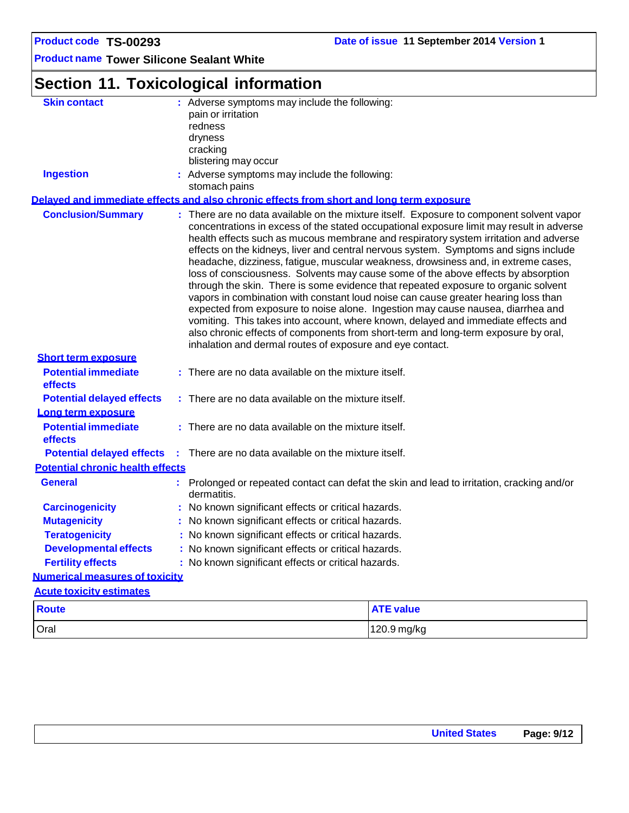**Product name Tower Silicone Sealant White**

# **Section 11. Toxicological information**

| <b>Skin contact</b>                     |                                                     | : Adverse symptoms may include the following:                                            |                                                                                                                                                                                                                                                                                                                                                                                                                                                                                                                                                                                                                                                                                                                                                                                                                                                                                                                                                                                           |  |  |
|-----------------------------------------|-----------------------------------------------------|------------------------------------------------------------------------------------------|-------------------------------------------------------------------------------------------------------------------------------------------------------------------------------------------------------------------------------------------------------------------------------------------------------------------------------------------------------------------------------------------------------------------------------------------------------------------------------------------------------------------------------------------------------------------------------------------------------------------------------------------------------------------------------------------------------------------------------------------------------------------------------------------------------------------------------------------------------------------------------------------------------------------------------------------------------------------------------------------|--|--|
|                                         |                                                     | pain or irritation                                                                       |                                                                                                                                                                                                                                                                                                                                                                                                                                                                                                                                                                                                                                                                                                                                                                                                                                                                                                                                                                                           |  |  |
|                                         |                                                     | redness<br>dryness                                                                       |                                                                                                                                                                                                                                                                                                                                                                                                                                                                                                                                                                                                                                                                                                                                                                                                                                                                                                                                                                                           |  |  |
|                                         |                                                     | cracking                                                                                 |                                                                                                                                                                                                                                                                                                                                                                                                                                                                                                                                                                                                                                                                                                                                                                                                                                                                                                                                                                                           |  |  |
|                                         |                                                     | blistering may occur                                                                     |                                                                                                                                                                                                                                                                                                                                                                                                                                                                                                                                                                                                                                                                                                                                                                                                                                                                                                                                                                                           |  |  |
| <b>Ingestion</b>                        |                                                     | : Adverse symptoms may include the following:                                            |                                                                                                                                                                                                                                                                                                                                                                                                                                                                                                                                                                                                                                                                                                                                                                                                                                                                                                                                                                                           |  |  |
|                                         |                                                     | stomach pains                                                                            |                                                                                                                                                                                                                                                                                                                                                                                                                                                                                                                                                                                                                                                                                                                                                                                                                                                                                                                                                                                           |  |  |
|                                         |                                                     | Delaved and immediate effects and also chronic effects from short and long term exposure |                                                                                                                                                                                                                                                                                                                                                                                                                                                                                                                                                                                                                                                                                                                                                                                                                                                                                                                                                                                           |  |  |
| <b>Conclusion/Summary</b>               |                                                     | inhalation and dermal routes of exposure and eye contact.                                | : There are no data available on the mixture itself. Exposure to component solvent vapor<br>concentrations in excess of the stated occupational exposure limit may result in adverse<br>health effects such as mucous membrane and respiratory system irritation and adverse<br>effects on the kidneys, liver and central nervous system. Symptoms and signs include<br>headache, dizziness, fatigue, muscular weakness, drowsiness and, in extreme cases,<br>loss of consciousness. Solvents may cause some of the above effects by absorption<br>through the skin. There is some evidence that repeated exposure to organic solvent<br>vapors in combination with constant loud noise can cause greater hearing loss than<br>expected from exposure to noise alone. Ingestion may cause nausea, diarrhea and<br>vomiting. This takes into account, where known, delayed and immediate effects and<br>also chronic effects of components from short-term and long-term exposure by oral, |  |  |
| <b>Short term exposure</b>              |                                                     |                                                                                          |                                                                                                                                                                                                                                                                                                                                                                                                                                                                                                                                                                                                                                                                                                                                                                                                                                                                                                                                                                                           |  |  |
| <b>Potential immediate</b><br>effects   |                                                     | : There are no data available on the mixture itself.                                     |                                                                                                                                                                                                                                                                                                                                                                                                                                                                                                                                                                                                                                                                                                                                                                                                                                                                                                                                                                                           |  |  |
| <b>Potential delayed effects</b>        |                                                     | : There are no data available on the mixture itself.                                     |                                                                                                                                                                                                                                                                                                                                                                                                                                                                                                                                                                                                                                                                                                                                                                                                                                                                                                                                                                                           |  |  |
| Long term exposure                      |                                                     |                                                                                          |                                                                                                                                                                                                                                                                                                                                                                                                                                                                                                                                                                                                                                                                                                                                                                                                                                                                                                                                                                                           |  |  |
| <b>Potential immediate</b><br>effects   |                                                     | : There are no data available on the mixture itself.                                     |                                                                                                                                                                                                                                                                                                                                                                                                                                                                                                                                                                                                                                                                                                                                                                                                                                                                                                                                                                                           |  |  |
| <b>Potential delayed effects</b>        |                                                     | : There are no data available on the mixture itself.                                     |                                                                                                                                                                                                                                                                                                                                                                                                                                                                                                                                                                                                                                                                                                                                                                                                                                                                                                                                                                                           |  |  |
| <b>Potential chronic health effects</b> |                                                     |                                                                                          |                                                                                                                                                                                                                                                                                                                                                                                                                                                                                                                                                                                                                                                                                                                                                                                                                                                                                                                                                                                           |  |  |
| <b>General</b>                          |                                                     | dermatitis.                                                                              | Prolonged or repeated contact can defat the skin and lead to irritation, cracking and/or                                                                                                                                                                                                                                                                                                                                                                                                                                                                                                                                                                                                                                                                                                                                                                                                                                                                                                  |  |  |
| <b>Carcinogenicity</b>                  |                                                     | No known significant effects or critical hazards.                                        |                                                                                                                                                                                                                                                                                                                                                                                                                                                                                                                                                                                                                                                                                                                                                                                                                                                                                                                                                                                           |  |  |
| <b>Mutagenicity</b>                     |                                                     | : No known significant effects or critical hazards.                                      |                                                                                                                                                                                                                                                                                                                                                                                                                                                                                                                                                                                                                                                                                                                                                                                                                                                                                                                                                                                           |  |  |
| <b>Teratogenicity</b>                   | : No known significant effects or critical hazards. |                                                                                          |                                                                                                                                                                                                                                                                                                                                                                                                                                                                                                                                                                                                                                                                                                                                                                                                                                                                                                                                                                                           |  |  |
| <b>Developmental effects</b>            | : No known significant effects or critical hazards. |                                                                                          |                                                                                                                                                                                                                                                                                                                                                                                                                                                                                                                                                                                                                                                                                                                                                                                                                                                                                                                                                                                           |  |  |
| <b>Fertility effects</b>                | : No known significant effects or critical hazards. |                                                                                          |                                                                                                                                                                                                                                                                                                                                                                                                                                                                                                                                                                                                                                                                                                                                                                                                                                                                                                                                                                                           |  |  |
| <b>Numerical measures of toxicity</b>   |                                                     |                                                                                          |                                                                                                                                                                                                                                                                                                                                                                                                                                                                                                                                                                                                                                                                                                                                                                                                                                                                                                                                                                                           |  |  |
| <b>Acute toxicity estimates</b>         |                                                     |                                                                                          |                                                                                                                                                                                                                                                                                                                                                                                                                                                                                                                                                                                                                                                                                                                                                                                                                                                                                                                                                                                           |  |  |
| <b>Route</b>                            |                                                     |                                                                                          | <b>ATE value</b>                                                                                                                                                                                                                                                                                                                                                                                                                                                                                                                                                                                                                                                                                                                                                                                                                                                                                                                                                                          |  |  |
| Oral                                    |                                                     |                                                                                          | 120.9 mg/kg                                                                                                                                                                                                                                                                                                                                                                                                                                                                                                                                                                                                                                                                                                                                                                                                                                                                                                                                                                               |  |  |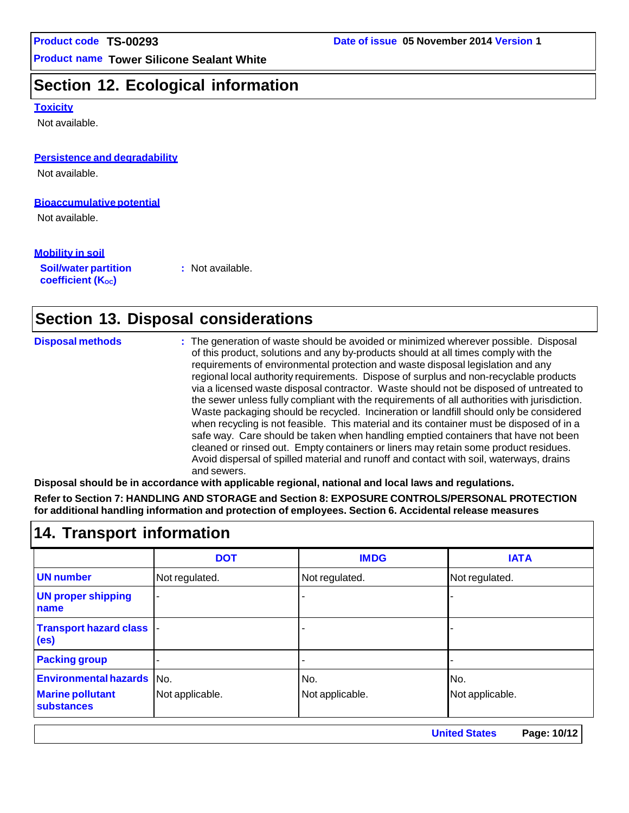# **Section 12. Ecological information**

#### **Toxicity**

Not available.

#### **Persistence and degradability**

Not available.

#### **Bioaccumulative potential**

Not available.

#### **Mobility in soil**

**Soil/water partition coefficient** (K<sub>oc</sub>)

**:** Not available.

# **Section 13. Disposal considerations**

| <b>Disposal methods</b> | : The generation of waste should be avoided or minimized wherever possible. Disposal<br>of this product, solutions and any by-products should at all times comply with the<br>requirements of environmental protection and waste disposal legislation and any<br>regional local authority requirements. Dispose of surplus and non-recyclable products<br>via a licensed waste disposal contractor. Waste should not be disposed of untreated to<br>the sewer unless fully compliant with the requirements of all authorities with jurisdiction.<br>Waste packaging should be recycled. Incineration or landfill should only be considered<br>when recycling is not feasible. This material and its container must be disposed of in a<br>safe way. Care should be taken when handling emptied containers that have not been<br>cleaned or rinsed out. Empty containers or liners may retain some product residues. |
|-------------------------|---------------------------------------------------------------------------------------------------------------------------------------------------------------------------------------------------------------------------------------------------------------------------------------------------------------------------------------------------------------------------------------------------------------------------------------------------------------------------------------------------------------------------------------------------------------------------------------------------------------------------------------------------------------------------------------------------------------------------------------------------------------------------------------------------------------------------------------------------------------------------------------------------------------------|
|                         | Avoid dispersal of spilled material and runoff and contact with soil, waterways, drains<br>and sewers.                                                                                                                                                                                                                                                                                                                                                                                                                                                                                                                                                                                                                                                                                                                                                                                                              |

**Disposal should be in accordance with applicable regional, national and local laws and regulations.**

**Refer to Section 7: HANDLING AND STORAGE and Section 8: EXPOSURE CONTROLS/PERSONAL PROTECTION for additional handling information and protection of employees. Section 6. Accidental release measures**

### **14. Transport information**

|                                                                                  | <b>DOT</b>      | <b>IMDG</b>            | <b>IATA</b>            |
|----------------------------------------------------------------------------------|-----------------|------------------------|------------------------|
| <b>UN number</b>                                                                 | Not regulated.  | Not regulated.         | Not regulated.         |
| <b>UN proper shipping</b><br>name                                                |                 |                        |                        |
| <b>Transport hazard class</b><br>(e <sub>s</sub> )                               |                 |                        |                        |
| <b>Packing group</b>                                                             |                 |                        |                        |
| <b>Environmental hazards</b> No.<br><b>Marine pollutant</b><br><b>substances</b> | Not applicable. | No.<br>Not applicable. | No.<br>Not applicable. |

**United States Page: 10/12**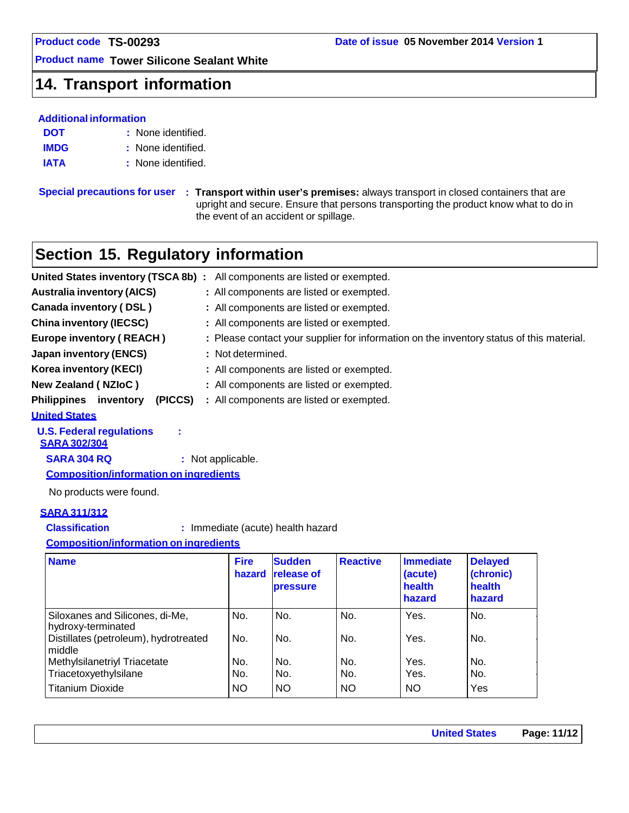### **14. Transport information**

### **Additional information**

- **DOT :** None identified.
- **IMDG :** None identified.
- **IATA :** None identified.

**Special precautions for user : Transport within user's premises:** always transport in closed containers that are upright and secure. Ensure that persons transporting the product know what to do in the event of an accident or spillage.

### **Section 15. Regulatory information**

| United States inventory (TSCA 8b):         | All components are listed or exempted.                                                   |
|--------------------------------------------|------------------------------------------------------------------------------------------|
| <b>Australia inventory (AICS)</b>          | : All components are listed or exempted.                                                 |
| <b>Canada inventory (DSL)</b>              | : All components are listed or exempted.                                                 |
| <b>China inventory (IECSC)</b>             | : All components are listed or exempted.                                                 |
| <b>Europe inventory (REACH)</b>            | : Please contact your supplier for information on the inventory status of this material. |
| <b>Japan inventory (ENCS)</b>              | : Not determined.                                                                        |
| Korea inventory (KECI)                     | : All components are listed or exempted.                                                 |
| <b>New Zealand (NZIoC)</b>                 | : All components are listed or exempted.                                                 |
| <b>Philippines</b><br>(PICCS)<br>inventory | : All components are listed or exempted.                                                 |
| <b>United States</b>                       |                                                                                          |
| <b>U.S. Federal regulations</b>            |                                                                                          |

**SARA 302/304**

**SARA 304 RQ :** Not applicable.

**Composition/information on ingredients**

No products were found.

#### **SARA 311/312**

**Classification :** Immediate (acute) health hazard

**Composition/information on ingredients**

| <b>Name</b>                                           | <b>Fire</b><br>hazard | <b>Sudden</b><br><b>release of</b><br><b>pressure</b> | <b>Reactive</b> | <b>Immediate</b><br>(acute)<br>health<br>hazard | <b>Delayed</b><br>(chronic)<br>health<br>hazard |
|-------------------------------------------------------|-----------------------|-------------------------------------------------------|-----------------|-------------------------------------------------|-------------------------------------------------|
| Siloxanes and Silicones, di-Me,<br>hydroxy-terminated | No.                   | No.                                                   | No.             | Yes.                                            | No.                                             |
| Distillates (petroleum), hydrotreated<br>middle       | No.                   | No.                                                   | No.             | Yes.                                            | No.                                             |
| Methylsilanetriyl Triacetate                          | No.                   | No.                                                   | No.             | Yes.                                            | No.                                             |
| Triacetoxyethylsilane                                 | No.                   | No.                                                   | No.             | Yes.                                            | No.                                             |
| <b>Titanium Dioxide</b>                               | <b>NO</b>             | <b>NO</b>                                             | <b>NO</b>       | <b>NO</b>                                       | Yes                                             |

**United States Page: 11/12**